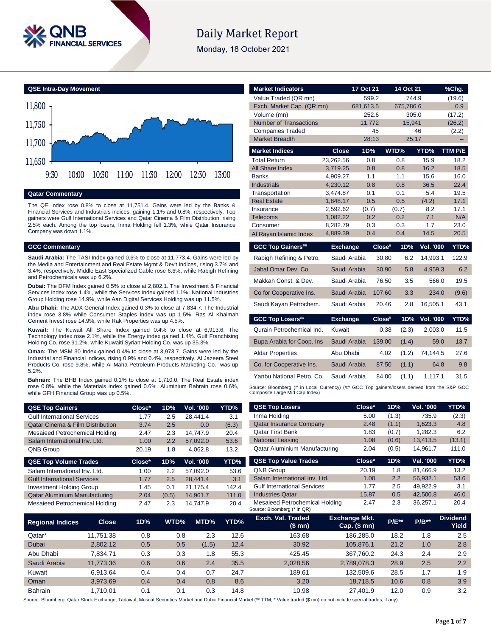

# **Daily Market Report**

Monday, 18 October 2021



### **Qatar Commentary**

The QE Index rose 0.8% to close at 11,751.4. Gains were led by the Banks & Financial Services and Industrials indices, gaining 1.1% and 0.8%, respectively. Top gainers were Gulf International Services and Qatar Cinema & Film Distribution, rising 2.5% each. Among the top losers, Inma Holding fell 1.3%, while Qatar Insurance Company was down 1.1%.

### **GCC Commentary**

**Saudi Arabia:** The TASI Index gained 0.6% to close at 11,773.4. Gains were led by the Media and Entertainment and Real Estate Mgmt & Dev't indices, rising 3.7% and 3.4%, respectively. Middle East Specialized Cable rose 6.6%, while Rabigh Refining and Petrochemicals was up 6.2%.

**Dubai:** The DFM Index gained 0.5% to close at 2,802.1. The Investment & Financial Services index rose 1.4%, while the Services index gained 1.1%. National Industries Group Holding rose 14.9%, while Aan Digital Services Holding was up 11.5%.

**Abu Dhabi:** The ADX General Index gained 0.3% to close at 7,834.7. The Industrial index rose 3.8% while Consumer Staples index was up 1.5%. Ras Al Khaimah Cement Invest rose 14.9%, while Rak Properties was up 4.5%.

**Kuwait:** The Kuwait All Share Index gained 0.4% to close at 6,913.6. The Technology index rose 2.1%, while the Energy index gained 1.4%. Gulf Franchising Holding Co. rose 91.2%, while Kuwaiti Syrian Holding Co. was up 35.3%.

**Oman:** The MSM 30 Index gained 0.4% to close at 3,973.7. Gains were led by the Industrial and Financial indices, rising 0.9% and 0.4%, respectively. Al Jazeera Steel Products Co. rose 9.8%, while Al Maha Petroleum Products Marketing Co. was up 5.2%.

**Bahrain:** The BHB Index gained 0.1% to close at 1,710.0. The Real Estate index rose 0.8%, while the Materials index gained 0.6%. Aluminium Bahrain rose 0.6%, while GFH Financial Group was up 0.5%.

| <b>QSE Top Gainers</b>                      | Close* | 1D%   | Vol. '000 | YTD%  |
|---------------------------------------------|--------|-------|-----------|-------|
| <b>Gulf International Services</b>          | 1.77   | 2.5   | 28,441.4  | 3.1   |
| <b>Qatar Cinema &amp; Film Distribution</b> | 3.74   | 2.5   | 0.0       | (6.3) |
| Mesaieed Petrochemical Holding              | 2.47   | 2.3   | 14.747.9  | 20.4  |
| Salam International Inv. Ltd.               | 1.00   | 2.2   | 57,092.0  | 53.6  |
| <b>QNB Group</b>                            | 20.19  | 1.8   | 4,062.8   | 13.2  |
| <b>QSE Top Volume Trades</b>                | Close* | 1D%   | Vol. '000 | YTD%  |
| Salam International Inv. Ltd.               | 1.00   | 2.2   | 57,092.0  | 53.6  |
| <b>Gulf International Services</b>          | 1.77   | 2.5   | 28,441.4  | 3.1   |
| <b>Investment Holding Group</b>             | 1.45   | 0.1   | 21.175.4  | 142.4 |
| <b>Qatar Aluminium Manufacturing</b>        | 2.04   | (0.5) | 14.961.7  | 111.0 |

Mesaieed Petrochemical Holding 2.47 2.3 14,747.9 20.4

| Value Traded (QR mn)<br>Exch. Market Cap. (QR mn)<br>Volume (mn)<br><b>Number of Transactions</b>                             |                 | 681,613.5<br>11,772 | 599.2<br>252.6 | 744.9<br>675,786.6<br>305.0 |                  | (19.6)<br>0.9 |
|-------------------------------------------------------------------------------------------------------------------------------|-----------------|---------------------|----------------|-----------------------------|------------------|---------------|
|                                                                                                                               |                 |                     |                |                             |                  |               |
|                                                                                                                               |                 |                     |                |                             |                  |               |
|                                                                                                                               |                 |                     |                |                             |                  | (17.2)        |
|                                                                                                                               |                 |                     |                | 15,941                      |                  | (26.2)        |
| <b>Companies Traded</b>                                                                                                       |                 |                     | 45             |                             | 46               | (2.2)         |
| <b>Market Breadth</b>                                                                                                         |                 |                     | 28:13          | 25:17                       |                  |               |
| <b>Market Indices</b>                                                                                                         | <b>Close</b>    | 1D%                 |                | WTD%                        | YTD%             | TTM P/E       |
| Total Return                                                                                                                  | 23,262.56       |                     | 0.8            | 0.8                         | 15.9             | 18.2          |
| <b>All Share Index</b>                                                                                                        | 3,719.25        |                     | 0.8            | 0.8                         | 16.2             | 18.5          |
| <b>Banks</b>                                                                                                                  | 4.909.27        |                     | 1.1            | 1.1                         | 15.6             | 16.0          |
| <b>Industrials</b>                                                                                                            | 4,230.12        |                     | 0.8            | 0.8                         | 36.5             | 22.4          |
| Transportation                                                                                                                | 3,474.87        |                     | 0.1            | 0.1                         | 5.4              | 19.5          |
| <b>Real Estate</b>                                                                                                            | 1,848.17        |                     | 0.5            | 0.5                         | (4.2)            | 17.1          |
| Insurance                                                                                                                     | 2,592.62        | (0.7)               |                | (0.7)                       | 8.2              | 17.1          |
| Telecoms                                                                                                                      | 1,082.22        |                     | 0.2            | 0.2                         | 7.1              | N/A           |
| Consumer                                                                                                                      | 8,282.79        |                     | 0.3            | 0.3                         | 1.7              | 23.0          |
| Al Rayan Islamic Index                                                                                                        | 4,889.39        |                     | 0.4            | 0.4                         | 14.5             | 20.5          |
| <b>GCC Top Gainers##</b>                                                                                                      | <b>Exchange</b> |                     | Close#         | 1D%                         | <b>Vol. '000</b> | YTD%          |
| Rabigh Refining & Petro.                                                                                                      | Saudi Arabia    |                     | 30.80          | 6.2                         | 14,993.1         | 122.9         |
| Jabal Omar Dev. Co.                                                                                                           | Saudi Arabia    |                     | 30.90          | 5.8                         | 4,959.3          | 6.2           |
| Makkah Const. & Dev.                                                                                                          | Saudi Arabia    |                     | 76.50          | 3.5                         | 566.0            | 19.5          |
| Co for Cooperative Ins.                                                                                                       | Saudi Arabia    |                     | 107.60         | 3.3                         | 234.0            | (9.6)         |
| Saudi Kayan Petrochem.                                                                                                        | Saudi Arabia    |                     | 20.46          | 2.8                         | 16,505.1         | 43.1          |
| <b>GCC Top Losers##</b>                                                                                                       | <b>Exchange</b> |                     | Close#         | 1D%                         | Vol. '000        | YTD%          |
| Qurain Petrochemical Ind.                                                                                                     | Kuwait          |                     | 0.38           | (2.3)                       | 2,003.0          | 11.5          |
| Bupa Arabia for Coop. Ins                                                                                                     | Saudi Arabia    |                     | 139.00         | (1.4)                       | 59.0             | 13.7          |
| <b>Aldar Properties</b>                                                                                                       | Abu Dhabi       |                     | 4.02           | (1.2)                       | 74,144.5         | 27.6          |
| Co. for Cooperative Ins.                                                                                                      | Saudi Arabia    |                     | 87.50          | (1.1)                       | 64.8             | 9.8           |
| Yanbu National Petro, Co.                                                                                                     | Saudi Arabia    |                     | 84.00          | (1.1)                       | 1.117.1          | 31.5          |
| Source: Bloomberg (# in Local Currency) (## GCC Top gainers/losers derived from the S&P GCC<br>Composite Large Mid Cap Index) |                 |                     |                |                             |                  |               |

| <b>QSE Top Losers</b>          | Close* | 1D%   | Vol. '000 | YTD%   |
|--------------------------------|--------|-------|-----------|--------|
| Inma Holding                   | 5.00   | (1.3) | 735.9     | (2.3)  |
| <b>Qatar Insurance Company</b> | 2.48   | (1.1) | 1,623.3   | 4.8    |
| <b>Oatar First Bank</b>        | 1.83   | (0.7) | 1,282.3   | 6.2    |
| <b>National Leasing</b>        | 1.08   | (0.6) | 13,413.5  | (13.1) |
| Qatar Aluminium Manufacturing  | 2.04   | (0.5) | 14,961.7  | 111.0  |
| <b>QSE Top Value Trades</b>    | Close* | 1D%   | Val. '000 | YTD%   |
| <b>QNB Group</b>               | 20.19  | 1.8   | 81,466.9  | 13.2   |
|                                |        |       |           |        |

| <b>QNB Group</b> |                                                               | 20.19 | 1.8 | 81.466.9 | 13.2 |
|------------------|---------------------------------------------------------------|-------|-----|----------|------|
|                  | Salam International Inv. Ltd.                                 | 1.00  | 2.2 | 56.932.1 | 53.6 |
|                  | <b>Gulf International Services</b>                            | 1.77  | 2.5 | 49.922.9 | 3.1  |
|                  | <b>Industries Qatar</b>                                       | 15.87 | 0.5 | 42,500.8 | 46.0 |
|                  | Mesaieed Petrochemical Holding<br>Source: Bloomberg (* in QR) | 2.47  | 2.3 | 36.257.1 | 20.4 |

| <b>Regional Indices</b> | <b>Close</b> | 1D% | WTD% | MTD%  | YTD% | Exch. Val. Traded<br>(\$ mn) | <b>Exchange Mkt.</b><br>$Cap.$ (\$ mn) | <b>P/E**</b> | $P/B**$ | <b>Dividend</b><br>Yield |
|-------------------------|--------------|-----|------|-------|------|------------------------------|----------------------------------------|--------------|---------|--------------------------|
| Qatar*                  | 11.751.38    | 0.8 | 0.8  | 2.3   | 12.6 | 163.68                       | 186.285.0                              | 18.2         | 1.8     | 2.5                      |
| Dubai                   | 2.802.12     | 0.5 | 0.5  | (1.5) | 12.4 | 30.92                        | 105.876.1                              | 21.2         | 1.0     | 2.8                      |
| Abu Dhabi               | 7.834.71     | 0.3 | 0.3  | 1.8   | 55.3 | 425.45                       | 367,760.2                              | 24.3         | 2.4     | 2.9                      |
| Saudi Arabia            | 11.773.36    | 0.6 | 0.6  | 2.4   | 35.5 | 2.028.56                     | 2,789,078.3                            | 28.9         | 2.5     | 2.2                      |
| Kuwait                  | 6.913.64     | 0.4 | 0.4  | 0.7   | 24.7 | 189.61                       | 132.509.6                              | 28.5         | 1.7     | 1.9                      |
| Oman                    | 3.973.69     | 0.4 | 0.4  | 0.8   | 8.6  | 3.20                         | 18.718.5                               | 10.6         | 0.8     | 3.9                      |
| <b>Bahrain</b>          | .710.01      | 0.1 | 0.1  | 0.3   | 14.8 | 10.98                        | 27.401.9                               | 12.0         | 0.9     | 3.2                      |

Source: Bloomberg, Qatar Stock Exchange, Tadawul, Muscat Securities Market and Dubai Financial Market (\*\* TTM; \* Value traded (\$ mn) do not include special trades, if any)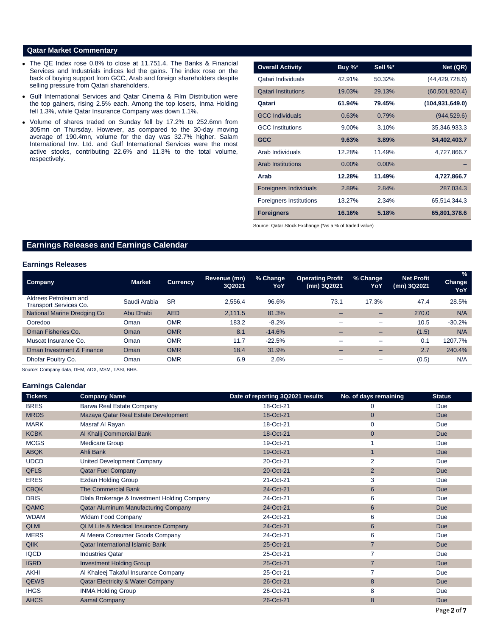### **Qatar Market Commentary**

- The QE Index rose 0.8% to close at 11,751.4. The Banks & Financial Services and Industrials indices led the gains. The index rose on the back of buying support from GCC, Arab and foreign shareholders despite selling pressure from Qatari shareholders.
- Gulf International Services and Qatar Cinema & Film Distribution were the top gainers, rising 2.5% each. Among the top losers, Inma Holding fell 1.3%, while Qatar Insurance Company was down 1.1%.
- Volume of shares traded on Sunday fell by 17.2% to 252.6mn from 305mn on Thursday. However, as compared to the 30-day moving average of 190.4mn, volume for the day was 32.7% higher. Salam International Inv. Ltd. and Gulf International Services were the most active stocks, contributing 22.6% and 11.3% to the total volume, respectively.

| <b>Overall Activity</b>        | Buy %*   | Sell %*  | Net (QR)          |
|--------------------------------|----------|----------|-------------------|
| Qatari Individuals             | 42.91%   | 50.32%   | (44, 429, 728.6)  |
| <b>Qatari Institutions</b>     | 19.03%   | 29.13%   | (60, 501, 920.4)  |
| Qatari                         | 61.94%   | 79.45%   | (104, 931, 649.0) |
| <b>GCC Individuals</b>         | 0.63%    | 0.79%    | (944, 529.6)      |
| <b>GCC</b> Institutions        | $9.00\%$ | 3.10%    | 35,346,933.3      |
| <b>GCC</b>                     | 9.63%    | 3.89%    | 34,402,403.7      |
| Arab Individuals               | 12.28%   | 11.49%   | 4,727,866.7       |
| <b>Arab Institutions</b>       | $0.00\%$ | $0.00\%$ |                   |
| Arab                           | 12.28%   | 11.49%   | 4,727,866.7       |
| <b>Foreigners Individuals</b>  | 2.89%    | 2.84%    | 287,034.3         |
| <b>Foreigners Institutions</b> | 13.27%   | 2.34%    | 65.514.344.3      |
| <b>Foreigners</b>              | 16.16%   | 5.18%    | 65,801,378.6      |

Source: Qatar Stock Exchange (\*as a % of traded value)

## **Earnings Releases and Earnings Calendar**

### **Earnings Releases**

| <b>Market</b> | <b>Currency</b> | Revenue (mn)<br>3Q2021 | % Change<br>YoY | <b>Operating Profit</b><br>(mn) 3Q2021 | % Change<br>YoY          | <b>Net Profit</b><br>(mn) 3Q2021 | $\%$<br><b>Change</b><br>YoY |
|---------------|-----------------|------------------------|-----------------|----------------------------------------|--------------------------|----------------------------------|------------------------------|
| Saudi Arabia  | <b>SR</b>       | 2.556.4                | 96.6%           | 73.1                                   | 17.3%                    | 47.4                             | 28.5%                        |
| Abu Dhabi     | <b>AED</b>      | 2.111.5                | 81.3%           | -                                      | $\overline{\phantom{0}}$ | 270.0                            | N/A                          |
| Oman          | <b>OMR</b>      | 183.2                  | $-8.2%$         | -                                      | $\overline{\phantom{0}}$ | 10.5                             | $-30.2%$                     |
| Oman          | <b>OMR</b>      | 8.1                    | $-14.6%$        | -                                      | $-$                      | (1.5)                            | N/A                          |
| Oman          | <b>OMR</b>      | 11.7                   | $-22.5%$        | -                                      | -                        | 0.1                              | 1207.7%                      |
| Oman          | <b>OMR</b>      | 18.4                   | 31.9%           |                                        |                          | 2.7                              | 240.4%                       |
| Oman          | <b>OMR</b>      | 6.9                    | 2.6%            | -                                      |                          | (0.5)                            | N/A                          |
|               |                 |                        |                 |                                        |                          |                                  |                              |

Source: Company data, DFM, ADX, MSM, TASI, BHB.

### **Earnings Calendar**

| <b>Tickers</b> | <b>Company Name</b>                             | Date of reporting 3Q2021 results | No. of days remaining | <b>Status</b> |
|----------------|-------------------------------------------------|----------------------------------|-----------------------|---------------|
| <b>BRES</b>    | Barwa Real Estate Company                       | 18-Oct-21                        | 0                     | Due           |
| <b>MRDS</b>    | Mazaya Qatar Real Estate Development            | 18-Oct-21                        | $\mathbf{0}$          | <b>Due</b>    |
| <b>MARK</b>    | Masraf Al Rayan                                 | 18-Oct-21                        | $\mathbf 0$           | Due           |
| <b>KCBK</b>    | Al Khalij Commercial Bank                       | 18-Oct-21                        | $\mathbf{0}$          | <b>Due</b>    |
| <b>MCGS</b>    | Medicare Group                                  | 19-Oct-21                        |                       | Due           |
| <b>ABQK</b>    | Ahli Bank                                       | 19-Oct-21                        | $\overline{1}$        | <b>Due</b>    |
| <b>UDCD</b>    | United Development Company                      | 20-Oct-21                        | 2                     | Due           |
| <b>QFLS</b>    | <b>Qatar Fuel Company</b>                       | 20-Oct-21                        | $\overline{2}$        | <b>Due</b>    |
| <b>ERES</b>    | <b>Ezdan Holding Group</b>                      | 21-Oct-21                        | 3                     | Due           |
| <b>CBQK</b>    | <b>The Commercial Bank</b>                      | 24-Oct-21                        | $6\phantom{1}$        | <b>Due</b>    |
| <b>DBIS</b>    | Dlala Brokerage & Investment Holding Company    | 24-Oct-21                        | 6                     | Due           |
| QAMC           | Qatar Aluminum Manufacturing Company            | 24-Oct-21                        | 6                     | <b>Due</b>    |
| <b>WDAM</b>    | <b>Widam Food Company</b>                       | 24-Oct-21                        | 6                     | Due           |
| <b>QLMI</b>    | <b>QLM Life &amp; Medical Insurance Company</b> | 24-Oct-21                        | 6                     | <b>Due</b>    |
| <b>MERS</b>    | Al Meera Consumer Goods Company                 | 24-Oct-21                        | 6                     | Due           |
| <b>QIIK</b>    | <b>Qatar International Islamic Bank</b>         | 25-Oct-21                        | $\overline{7}$        | <b>Due</b>    |
| <b>IQCD</b>    | <b>Industries Qatar</b>                         | 25-Oct-21                        | 7                     | Due           |
| <b>IGRD</b>    | <b>Investment Holding Group</b>                 | 25-Oct-21                        | $\overline{7}$        | <b>Due</b>    |
| <b>AKHI</b>    | Al Khaleej Takaful Insurance Company            | 25-Oct-21                        | 7                     | Due           |
| <b>QEWS</b>    | <b>Qatar Electricity &amp; Water Company</b>    | 26-Oct-21                        | 8                     | <b>Due</b>    |
| <b>IHGS</b>    | <b>INMA Holding Group</b>                       | 26-Oct-21                        | 8                     | Due           |
| <b>AHCS</b>    | <b>Aamal Company</b>                            | 26-Oct-21                        | 8                     | <b>Due</b>    |
|                |                                                 |                                  |                       |               |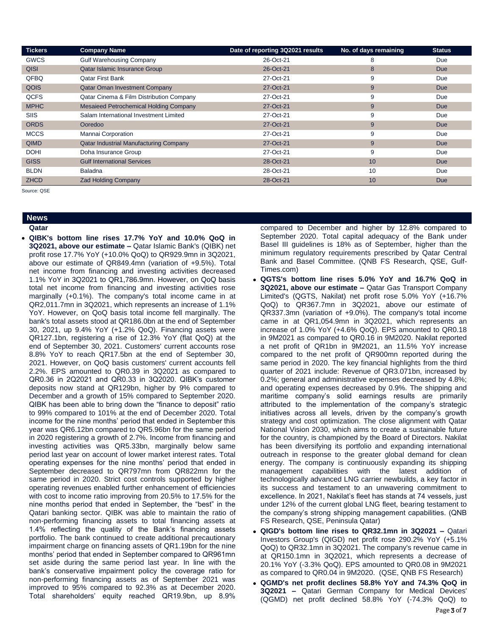| <b>Tickers</b> | <b>Company Name</b>                           | Date of reporting 3Q2021 results | No. of days remaining | <b>Status</b> |
|----------------|-----------------------------------------------|----------------------------------|-----------------------|---------------|
| <b>GWCS</b>    | <b>Gulf Warehousing Company</b>               | 26-Oct-21                        | 8                     | Due           |
| QISI           | Qatar Islamic Insurance Group                 | 26-Oct-21                        | 8                     | <b>Due</b>    |
| QFBQ           | <b>Qatar First Bank</b>                       | 27-Oct-21                        | 9                     | Due           |
| QOIS           | <b>Qatar Oman Investment Company</b>          | 27-Oct-21                        | 9                     | <b>Due</b>    |
| <b>QCFS</b>    | Qatar Cinema & Film Distribution Company      | 27-Oct-21                        | 9                     | Due           |
| <b>MPHC</b>    | <b>Mesaieed Petrochemical Holding Company</b> | 27-Oct-21                        | 9                     | <b>Due</b>    |
| <b>SIIS</b>    | Salam International Investment Limited        | 27-Oct-21                        | 9                     | Due           |
| <b>ORDS</b>    | Ooredoo                                       | 27-Oct-21                        | 9                     | <b>Due</b>    |
| <b>MCCS</b>    | <b>Mannai Corporation</b>                     | 27-Oct-21                        | 9                     | Due           |
| <b>QIMD</b>    | <b>Qatar Industrial Manufacturing Company</b> | 27-Oct-21                        | 9                     | <b>Due</b>    |
| <b>DOHI</b>    | Doha Insurance Group                          | 27-Oct-21                        | 9                     | Due           |
| <b>GISS</b>    | <b>Gulf International Services</b>            | 28-Oct-21                        | 10                    | <b>Due</b>    |
| <b>BLDN</b>    | <b>Baladna</b>                                | 28-Oct-21                        | 10                    | Due           |
| <b>ZHCD</b>    | <b>Zad Holding Company</b>                    | 28-Oct-21                        | 10                    | <b>Due</b>    |

Source: QSE

# **News**

**Qatar** 

 **QIBK's bottom line rises 17.7% YoY and 10.0% QoQ in 3Q2021, above our estimate –** Qatar Islamic Bank's (QIBK) net profit rose 17.7% YoY (+10.0% QoQ) to QR929.9mn in 3Q2021, above our estimate of QR849.4mn (variation of +9.5%). Total net income from financing and investing activities decreased 1.1% YoY in 3Q2021 to QR1,786.9mn. However, on QoQ basis total net income from financing and investing activities rose marginally (+0.1%). The company's total income came in at QR2,011.7mn in 3Q2021, which represents an increase of 1.1% YoY. However, on QoQ basis total income fell marginally. The bank's total assets stood at QR186.0bn at the end of September 30, 2021, up 9.4% YoY (+1.2% QoQ). Financing assets were QR127.1bn, registering a rise of 12.3% YoY (flat QoQ) at the end of September 30, 2021. Customers' current accounts rose 8.8% YoY to reach QR17.5bn at the end of September 30, 2021. However, on QoQ basis customers' current accounts fell 2.2%. EPS amounted to QR0.39 in 3Q2021 as compared to QR0.36 in 2Q2021 and QR0.33 in 3Q2020. QIBK's customer deposits now stand at QR129bn, higher by 9% compared to December and a growth of 15% compared to September 2020. QIBK has been able to bring down the "finance to deposit" ratio to 99% compared to 101% at the end of December 2020. Total income for the nine months' period that ended in September this year was QR6.12bn compared to QR5.96bn for the same period in 2020 registering a growth of 2.7%. Income from financing and investing activities was QR5.33bn, marginally below same period last year on account of lower market interest rates. Total operating expenses for the nine months' period that ended in September decreased to QR797mn from QR822mn for the same period in 2020. Strict cost controls supported by higher operating revenues enabled further enhancement of efficiencies with cost to income ratio improving from 20.5% to 17.5% for the nine months period that ended in September, the "best" in the Qatari banking sector. QIBK was able to maintain the ratio of non-performing financing assets to total financing assets at 1.4% reflecting the quality of the Bank's financing assets portfolio. The bank continued to create additional precautionary impairment charge on financing assets of QR1.19bn for the nine months' period that ended in September compared to QR961mn set aside during the same period last year. In line with the bank's conservative impairment policy the coverage ratio for non-performing financing assets as of September 2021 was improved to 95% compared to 92.3% as at December 2020. Total shareholders' equity reached QR19.9bn, up 8.9%

compared to December and higher by 12.8% compared to September 2020. Total capital adequacy of the Bank under Basel III guidelines is 18% as of September, higher than the minimum regulatory requirements prescribed by Qatar Central Bank and Basel Committee. (QNB FS Research, QSE, Gulf-Times.com)

- **QGTS's bottom line rises 5.0% YoY and 16.7% QoQ in 3Q2021, above our estimate –** Qatar Gas Transport Company Limited's (QGTS, Nakilat) net profit rose 5.0% YoY (+16.7% QoQ) to QR367.7mn in 3Q2021, above our estimate of QR337.3mn (variation of +9.0%). The company's total income came in at QR1,054.9mn in 3Q2021, which represents an increase of 1.0% YoY (+4.6% QoQ). EPS amounted to QR0.18 in 9M2021 as compared to QR0.16 in 9M2020. Nakilat reported a net profit of QR1bn in 9M2021, an 11.5% YoY increase compared to the net profit of QR900mn reported during the same period in 2020. The key financial highlights from the third quarter of 2021 include: Revenue of QR3.071bn, increased by 0.2%; general and administrative expenses decreased by 4.8%; and operating expenses decreased by 0.9%. The shipping and maritime company's solid earnings results are primarily attributed to the implementation of the company's strategic initiatives across all levels, driven by the company's growth strategy and cost optimization. The close alignment with Qatar National Vision 2030, which aims to create a sustainable future for the country, is championed by the Board of Directors. Nakilat has been diversifying its portfolio and expanding international outreach in response to the greater global demand for clean energy. The company is continuously expanding its shipping management capabilities with the latest addition of technologically advanced LNG carrier newbuilds, a key factor in its success and testament to an unwavering commitment to excellence. In 2021, Nakilat's fleet has stands at 74 vessels, just under 12% of the current global LNG fleet, bearing testament to the company's strong shipping management capabilities. (QNB FS Research, QSE, Peninsula Qatar)
- **QIGD's bottom line rises to QR32.1mn in 3Q2021 –** Qatari Investors Group's (QIGD) net profit rose 290.2% YoY (+5.1% QoQ) to QR32.1mn in 3Q2021. The company's revenue came in at QR150.1mn in 3Q2021, which represents a decrease of 20.1% YoY (-3.3% QoQ). EPS amounted to QR0.08 in 9M2021 as compared to QR0.04 in 9M2020. (QSE, QNB FS Research)
- **QGMD's net profit declines 58.8% YoY and 74.3% QoQ in 3Q2021 –** Qatari German Company for Medical Devices' (QGMD) net profit declined 58.8% YoY (-74.3% QoQ) to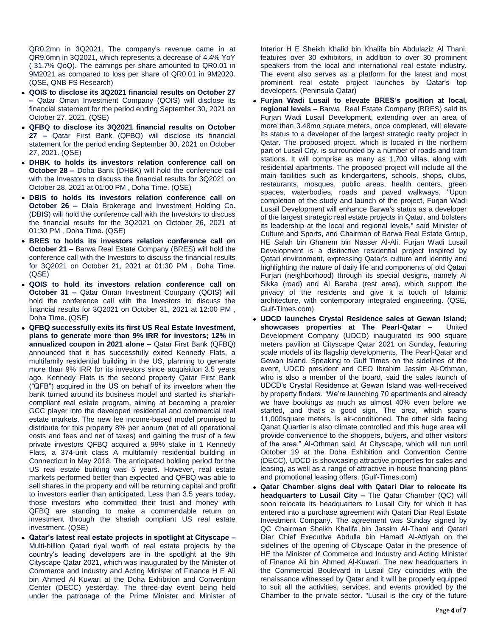QR0.2mn in 3Q2021. The company's revenue came in at QR9.6mn in 3Q2021, which represents a decrease of 4.4% YoY (-31.7% QoQ). The earnings per share amounted to QR0.01 in 9M2021 as compared to loss per share of QR0.01 in 9M2020. (QSE, QNB FS Research)

- **QOIS to disclose its 3Q2021 financial results on October 27 –** Qatar Oman Investment Company (QOIS) will disclose its financial statement for the period ending September 30, 2021 on October 27, 2021. (QSE)
- **QFBQ to disclose its 3Q2021 financial results on October 27 –** Qatar First Bank (QFBQ) will disclose its financial statement for the period ending September 30, 2021 on October 27, 2021. (QSE)
- **DHBK to holds its investors relation conference call on October 28 –** Doha Bank (DHBK) will hold the conference call with the Investors to discuss the financial results for 3Q2021 on October 28, 2021 at 01:00 PM , Doha Time. (QSE)
- **DBIS to holds its investors relation conference call on October 26 –** Dlala Brokerage and Investment Holding Co. (DBIS) will hold the conference call with the Investors to discuss the financial results for the 3Q2021 on October 26, 2021 at 01:30 PM , Doha Time. (QSE)
- **BRES to holds its investors relation conference call on October 21 –** Barwa Real Estate Company (BRES) will hold the conference call with the Investors to discuss the financial results for 3Q2021 on October 21, 2021 at 01:30 PM , Doha Time. (QSE)
- **QOIS to hold its investors relation conference call on October 31 –** Qatar Oman Investment Company (QOIS) will hold the conference call with the Investors to discuss the financial results for 3Q2021 on October 31, 2021 at 12:00 PM , Doha Time. (QSE)
- **QFBQ successfully exits its first US Real Estate Investment, plans to generate more than 9% IRR for investors; 12% in annualized coupon in 2021 alone –** Qatar First Bank (QFBQ) announced that it has successfully exited Kennedy Flats, a multifamily residential building in the US, planning to generate more than 9% IRR for its investors since acquisition 3.5 years ago. Kennedy Flats is the second property Qatar First Bank ("QFB") acquired in the US on behalf of its investors when the bank turned around its business model and started its shariahcompliant real estate program, aiming at becoming a premier GCC player into the developed residential and commercial real estate markets. The new fee income-based model promised to distribute for this property 8% per annum (net of all operational costs and fees and net of taxes) and gaining the trust of a few private investors QFBQ acquired a 99% stake in 1 Kennedy Flats, a 374-unit class A multifamily residential building in Connecticut in May 2018. The anticipated holding period for the US real estate building was 5 years. However, real estate markets performed better than expected and QFBQ was able to sell shares in the property and will be returning capital and profit to investors earlier than anticipated. Less than 3.5 years today, those investors who committed their trust and money with QFBQ are standing to make a commendable return on investment through the shariah compliant US real estate investment. (QSE)
- **Qatar's latest real estate projects in spotlight at Cityscape –** Multi-billion Qatari riyal worth of real estate projects by the country's leading developers are in the spotlight at the 9th Cityscape Qatar 2021, which was inaugurated by the Minister of Commerce and Industry and Acting Minister of Finance H E Ali bin Ahmed Al Kuwari at the Doha Exhibition and Convention Center (DECC) yesterday. The three-day event being held under the patronage of the Prime Minister and Minister of

Interior H E Sheikh Khalid bin Khalifa bin Abdulaziz Al Thani, features over 30 exhibitors, in addition to over 30 prominent speakers from the local and international real estate industry. The event also serves as a platform for the latest and most prominent real estate project launches by Qatar's top developers. (Peninsula Qatar)

- **Furjan Wadi Lusail to elevate BRES's position at local, regional levels –** Barwa Real Estate Company (BRES) said its Furjan Wadi Lusail Development, extending over an area of more than 3.48mn square meters, once completed, will elevate its status to a developer of the largest strategic realty project in Qatar. The proposed project, which is located in the northern part of Lusail City, is surrounded by a number of roads and tram stations. It will comprise as many as 1,700 villas, along with residential apartments. The proposed project will include all the main facilities such as kindergartens, schools, shops, clubs, restaurants, mosques, public areas, health centers, green spaces, waterbodies, roads and paved walkways. "Upon completion of the study and launch of the project, Furjan Wadi Lusail Development will enhance Barwa's status as a developer of the largest strategic real estate projects in Qatar, and bolsters its leadership at the local and regional levels," said Minister of Culture and Sports, and Chairman of Barwa Real Estate Group, HE Salah bin Ghanem bin Nasser Al-Ali. Furjan Wadi Lusail Development is a distinctive residential project inspired by Qatari environment, expressing Qatar's culture and identity and highlighting the nature of daily life and components of old Qatari Furjan (neighborhood) through its special designs, namely Al Sikka (road) and Al Baraha (rest area), which support the privacy of the residents and give it a touch of Islamic architecture, with contemporary integrated engineering. (QSE, Gulf-Times.com)
- **UDCD launches Crystal Residence sales at Gewan Island; showcases properties at The Pearl-Qatar –** United Development Company (UDCD) inaugurated its 900 square meters pavilion at Cityscape Qatar 2021 on Sunday, featuring scale models of its flagship developments, The Pearl-Qatar and Gewan Island. Speaking to Gulf Times on the sidelines of the event, UDCD president and CEO Ibrahim Jassim Al-Othman, who is also a member of the board, said the sales launch of UDCD's Crystal Residence at Gewan Island was well-received by property finders. "We're launching 70 apartments and already we have bookings as much as almost 40% even before we started, and that's a good sign. The area, which spans 11,000square meters, is air-conditioned. The other side facing Qanat Quartier is also climate controlled and this huge area will provide convenience to the shoppers, buyers, and other visitors of the area," Al-Othman said. At Cityscape, which will run until October 19 at the Doha Exhibition and Convention Centre (DECC), UDCD is showcasing attractive properties for sales and leasing, as well as a range of attractive in-house financing plans and promotional leasing offers. (Gulf-Times.com)
- **Qatar Chamber signs deal with Qatari Diar to relocate its headquarters to Lusail City –** The Qatar Chamber (QC) will soon relocate its headquarters to Lusail City for which it has entered into a purchase agreement with Qatari Diar Real Estate Investment Company. The agreement was Sunday signed by QC Chairman Sheikh Khalifa bin Jassim Al-Thani and Qatari Diar Chief Executive Abdulla bin Hamad Al-Attiyah on the sidelines of the opening of Cityscape Qatar in the presence of HE the Minister of Commerce and Industry and Acting Minister of Finance Ali bin Ahmed Al-Kuwari. The new headquarters in the Commercial Boulevard in Lusail City coincides with the renaissance witnessed by Qatar and it will be properly equipped to suit all the activities, services, and events provided by the Chamber to the private sector. "Lusail is the city of the future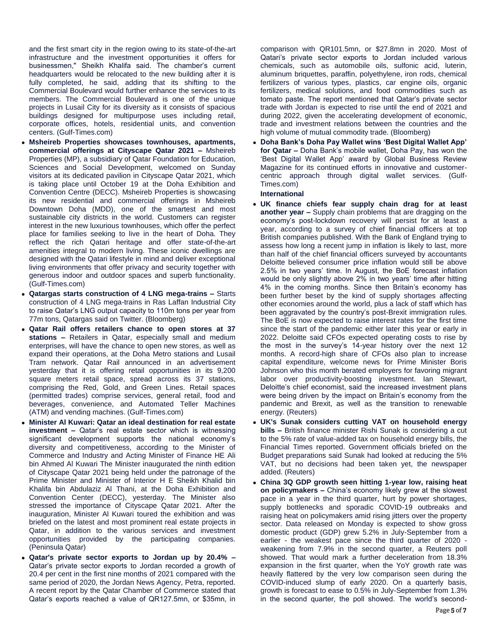and the first smart city in the region owing to its state-of-the-art infrastructure and the investment opportunities it offers for businessmen," Sheikh Khalifa said. The chamber's current headquarters would be relocated to the new building after it is fully completed, he said, adding that its shifting to the Commercial Boulevard would further enhance the services to its members. The Commercial Boulevard is one of the unique projects in Lusail City for its diversity as it consists of spacious buildings designed for multipurpose uses including retail, corporate offices, hotels, residential units, and convention centers. (Gulf-Times.com)

- **Msheireb Properties showcases townhouses, apartments, commercial offerings at Cityscape Qatar 2021 –** Msheireb Properties (MP), a subsidiary of Qatar Foundation for Education, Sciences and Social Development, welcomed on Sunday visitors at its dedicated pavilion in Cityscape Qatar 2021, which is taking place until October 19 at the Doha Exhibition and Convention Centre (DECC). Msheireb Properties is showcasing its new residential and commercial offerings in Msheireb Downtown Doha (MDD), one of the smartest and most sustainable city districts in the world. Customers can register interest in the new luxurious townhouses, which offer the perfect place for families seeking to live in the heart of Doha. They reflect the rich Qatari heritage and offer state-of-the-art amenities integral to modern living. These iconic dwellings are designed with the Qatari lifestyle in mind and deliver exceptional living environments that offer privacy and security together with generous indoor and outdoor spaces and superb functionality. (Gulf-Times.com)
- **Qatargas starts construction of 4 LNG mega-trains –** Starts construction of 4 LNG mega-trains in Ras Laffan Industrial City to raise Qatar's LNG output capacity to 110m tons per year from 77m tons, Qatargas said on Twitter. (Bloomberg)
- **Qatar Rail offers retailers chance to open stores at 37 stations –** Retailers in Qatar, especially small and medium enterprises, will have the chance to open new stores, as well as expand their operations, at the Doha Metro stations and Lusail Tram network. Qatar Rail announced in an advertisement yesterday that it is offering retail opportunities in its 9,200 square meters retail space, spread across its 37 stations, comprising the Red, Gold, and Green Lines. Retail spaces (permitted trades) comprise services, general retail, food and beverages, convenience, and Automated Teller Machines (ATM) and vending machines. (Gulf-Times.com)
- **Minister Al Kuwari: Qatar an ideal destination for real estate investment –** Qatar's real estate sector which is witnessing significant development supports the national economy's diversity and competitiveness, according to the Minister of Commerce and Industry and Acting Minister of Finance HE Ali bin Ahmed Al Kuwari The Minister inaugurated the ninth edition of Cityscape Qatar 2021 being held under the patronage of the Prime Minister and Minister of Interior H E Sheikh Khalid bin Khalifa bin Abdulaziz Al Thani, at the Doha Exhibition and Convention Center (DECC), yesterday. The Minister also stressed the importance of Cityscape Qatar 2021. After the inauguration, Minister Al Kuwari toured the exhibition and was briefed on the latest and most prominent real estate projects in Qatar, in addition to the various services and investment opportunities provided by the participating companies. (Peninsula Qatar)
- **Qatar's private sector exports to Jordan up by 20.4% –** Qatar's private sector exports to Jordan recorded a growth of 20.4 per cent in the first nine months of 2021 compared with the same period of 2020, the Jordan News Agency, Petra, reported. A recent report by the Qatar Chamber of Commerce stated that Qatar's exports reached a value of QR127.5mn, or \$35mn, in

comparison with QR101.5mn, or \$27.8mn in 2020. Most of Qatari's private sector exports to Jordan included various chemicals, such as automobile oils, sulfonic acid, luterin, aluminum briquettes, paraffin, polyethylene, iron rods, chemical fertilizers of various types, plastics, car engine oils, organic fertilizers, medical solutions, and food commodities such as tomato paste. The report mentioned that Qatar's private sector trade with Jordan is expected to rise until the end of 2021 and during 2022, given the accelerating development of economic, trade and investment relations between the countries and the high volume of mutual commodity trade. (Bloomberg)

 **Doha Bank's Doha Pay Wallet wins 'Best Digital Wallet App' for Qatar –** Doha Bank's mobile wallet, Doha Pay, has won the 'Best Digital Wallet App' award by Global Business Review Magazine for its continued efforts in innovative and customercentric approach through digital wallet services. (Gulf-Times.com)

### **International**

- **UK finance chiefs fear supply chain drag for at least another year –** Supply chain problems that are dragging on the economy's post-lockdown recovery will persist for at least a year, according to a survey of chief financial officers at top British companies published. With the Bank of England trying to assess how long a recent jump in inflation is likely to last, more than half of the chief financial officers surveyed by accountants Deloitte believed consumer price inflation would still be above 2.5% in two years' time. In August, the BoE forecast inflation would be only slightly above 2% in two years' time after hitting 4% in the coming months. Since then Britain's economy has been further beset by the kind of supply shortages affecting other economies around the world, plus a lack of staff which has been aggravated by the country's post-Brexit immigration rules. The BoE is now expected to raise interest rates for the first time since the start of the pandemic either later this year or early in 2022. Deloitte said CFOs expected operating costs to rise by the most in the survey's 14-year history over the next 12 months. A record-high share of CFOs also plan to increase capital expenditure, welcome news for Prime Minister Boris Johnson who this month berated employers for favoring migrant labor over productivity-boosting investment. Ian Stewart, Deloitte's chief economist, said the increased investment plans were being driven by the impact on Britain's economy from the pandemic and Brexit, as well as the transition to renewable energy. (Reuters)
- **UK's Sunak considers cutting VAT on household energy bills –** British finance minister Rishi Sunak is considering a cut to the 5% rate of value-added tax on household energy bills, the Financial Times reported. Government officials briefed on the Budget preparations said Sunak had looked at reducing the 5% VAT, but no decisions had been taken yet, the newspaper added. (Reuters)
- **China 3Q GDP growth seen hitting 1-year low, raising heat on policymakers –** China's economy likely grew at the slowest pace in a year in the third quarter, hurt by power shortages, supply bottlenecks and sporadic COVID-19 outbreaks and raising heat on policymakers amid rising jitters over the property sector. Data released on Monday is expected to show gross domestic product (GDP) grew 5.2% in July-September from a earlier - the weakest pace since the third quarter of 2020 weakening from 7.9% in the second quarter, a Reuters poll showed. That would mark a further deceleration from 18.3% expansion in the first quarter, when the YoY growth rate was heavily flattered by the very low comparison seen during the COVID-induced slump of early 2020. On a quarterly basis, growth is forecast to ease to 0.5% in July-September from 1.3% in the second quarter, the poll showed. The world's second-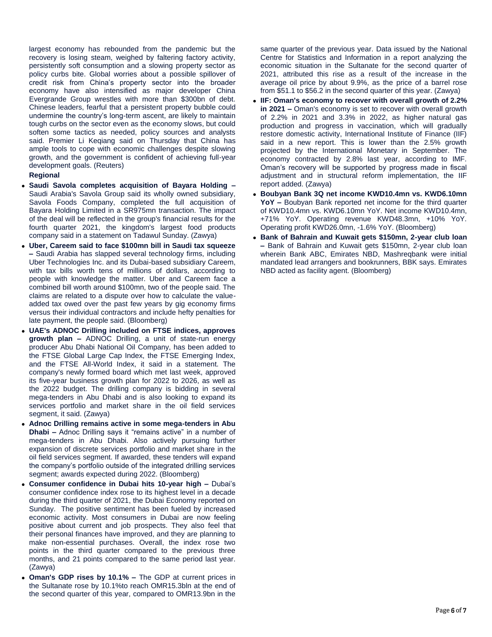largest economy has rebounded from the pandemic but the recovery is losing steam, weighed by faltering factory activity, persistently soft consumption and a slowing property sector as policy curbs bite. Global worries about a possible spillover of credit risk from China's property sector into the broader economy have also intensified as major developer China Evergrande Group wrestles with more than \$300bn of debt. Chinese leaders, fearful that a persistent property bubble could undermine the country's long-term ascent, are likely to maintain tough curbs on the sector even as the economy slows, but could soften some tactics as needed, policy sources and analysts said. Premier Li Keqiang said on Thursday that China has ample tools to cope with economic challenges despite slowing growth, and the government is confident of achieving full-year development goals. (Reuters)

### **Regional**

- **Saudi Savola completes acquisition of Bayara Holding –** Saudi Arabia's Savola Group said its wholly owned subsidiary, Savola Foods Company, completed the full acquisition of Bayara Holding Limited in a SR975mn transaction. The impact of the deal will be reflected in the group's financial results for the fourth quarter 2021, the kingdom's largest food products company said in a statement on Tadawul Sunday. (Zawya)
- **Uber, Careem said to face \$100mn bill in Saudi tax squeeze –** Saudi Arabia has slapped several technology firms, including Uber Technologies Inc. and its Dubai-based subsidiary Careem, with tax bills worth tens of millions of dollars, according to people with knowledge the matter. Uber and Careem face a combined bill worth around \$100mn, two of the people said. The claims are related to a dispute over how to calculate the valueadded tax owed over the past few years by gig economy firms versus their individual contractors and include hefty penalties for late payment, the people said. (Bloomberg)
- **UAE's ADNOC Drilling included on FTSE indices, approves growth plan –** ADNOC Drilling, a unit of state-run energy producer Abu Dhabi National Oil Company, has been added to the FTSE Global Large Cap Index, the FTSE Emerging Index, and the FTSE All-World Index, it said in a statement. The company's newly formed board which met last week, approved its five-year business growth plan for 2022 to 2026, as well as the 2022 budget. The drilling company is bidding in several mega-tenders in Abu Dhabi and is also looking to expand its services portfolio and market share in the oil field services segment, it said. (Zawya)
- **Adnoc Drilling remains active in some mega-tenders in Abu Dhabi –** Adnoc Drilling says it "remains active" in a number of mega-tenders in Abu Dhabi. Also actively pursuing further expansion of discrete services portfolio and market share in the oil field services segment. If awarded, these tenders will expand the company's portfolio outside of the integrated drilling services segment; awards expected during 2022. (Bloomberg)
- **Consumer confidence in Dubai hits 10-year high –** Dubai's consumer confidence index rose to its highest level in a decade during the third quarter of 2021, the Dubai Economy reported on Sunday. The positive sentiment has been fueled by increased economic activity. Most consumers in Dubai are now feeling positive about current and job prospects. They also feel that their personal finances have improved, and they are planning to make non-essential purchases. Overall, the index rose two points in the third quarter compared to the previous three months, and 21 points compared to the same period last year. (Zawya)
- **Oman's GDP rises by 10.1% –** The GDP at current prices in the Sultanate rose by 10.1%to reach OMR15.3bln at the end of the second quarter of this year, compared to OMR13.9bn in the

same quarter of the previous year. Data issued by the National Centre for Statistics and Information in a report analyzing the economic situation in the Sultanate for the second quarter of 2021, attributed this rise as a result of the increase in the average oil price by about 9.9%, as the price of a barrel rose from \$51.1 to \$56.2 in the second quarter of this year. (Zawya)

- **IIF: Oman's economy to recover with overall growth of 2.2% in 2021 –** Oman's economy is set to recover with overall growth of 2.2% in 2021 and 3.3% in 2022, as higher natural gas production and progress in vaccination, which will gradually restore domestic activity, International Institute of Finance (IIF) said in a new report. This is lower than the 2.5% growth projected by the International Monetary in September. The economy contracted by 2.8% last year, according to IMF. Oman's recovery will be supported by progress made in fiscal adjustment and in structural reform implementation, the IIF report added. (Zawya)
- **Boubyan Bank 3Q net income KWD10.4mn vs. KWD6.10mn YoY –** Boubyan Bank reported net income for the third quarter of KWD10.4mn vs. KWD6.10mn YoY. Net income KWD10.4mn, +71% YoY. Operating revenue KWD48.3mn, +10% YoY. Operating profit KWD26.0mn, -1.6% YoY. (Bloomberg)
- **Bank of Bahrain and Kuwait gets \$150mn, 2-year club loan –** Bank of Bahrain and Kuwait gets \$150mn, 2-year club loan wherein Bank ABC, Emirates NBD, Mashreqbank were initial mandated lead arrangers and bookrunners, BBK says. Emirates NBD acted as facility agent. (Bloomberg)